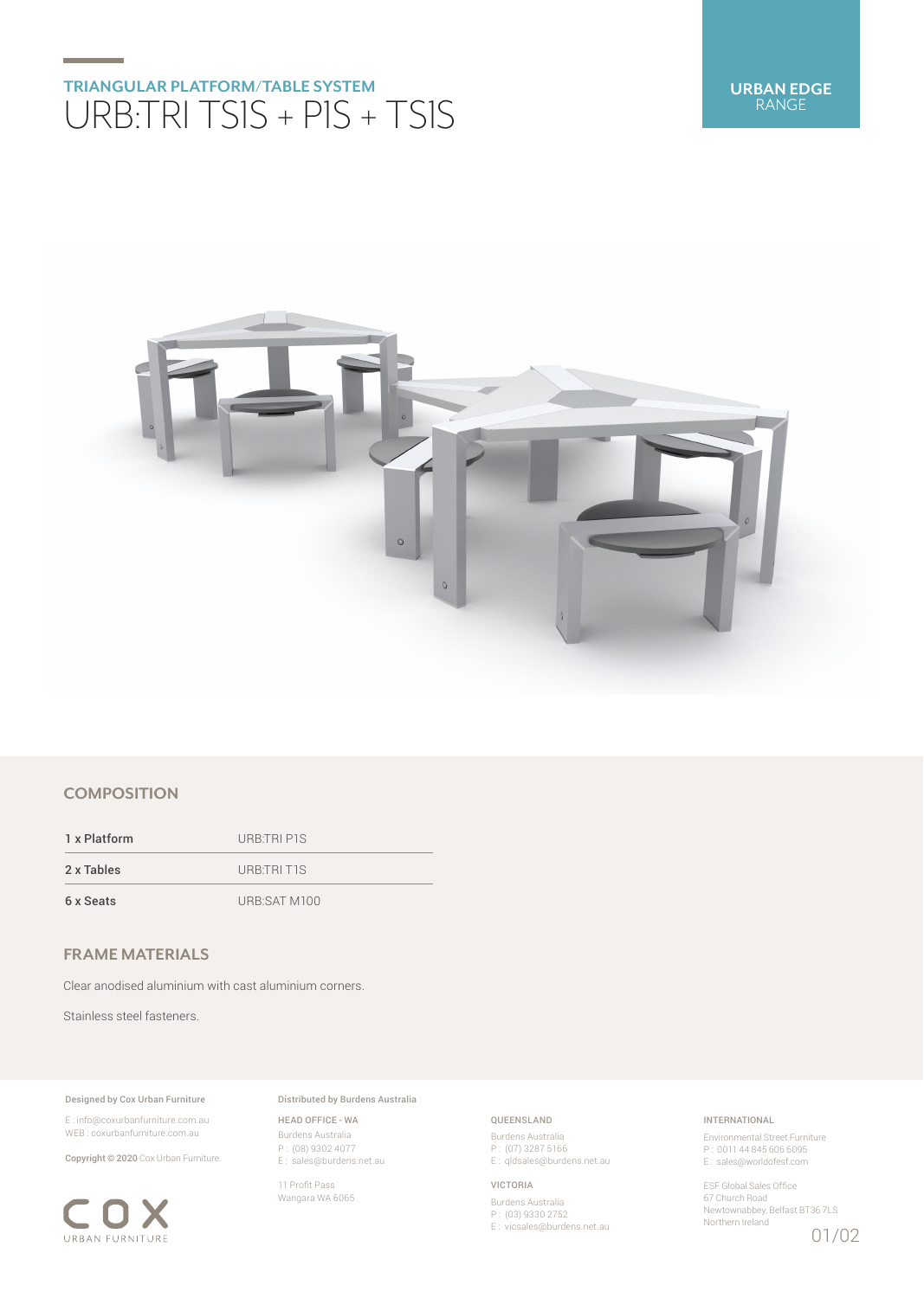# **TRIANGULAR PLATFORM/TABLE SYSTEM** URB:TRI TS1S + P1S + TS1S



## **COMPOSITION**

1 x Platform URB:TRI P1S 2 x Tables URB:TRI T1S 6 x Seats URB:SAT M100

# **FRAME MATERIALS**

Clear anodised aluminium with cast aluminium corners.

Stainless steel fasteners.

### Designed by Cox Urban Furniture

E : info@coxurbanfurniture.com.au WEB : coxurbanfurniture.com.au

Copyright © 2020 Cox Urban Furniture.



Distributed by Burdens Australia

HEAD OFFICE - WA Burdens Australia P : (08) 9302 4077 E : sales@burdens.net.au

11 Profit Pass Wangara WA 6065

## QUEENSLAND

Burdens Australia P : (07) 3287 5166 E: qldsales@burdens.net.au

### VICTORIA

Burdens Australia P : (03) 9330 2752 E : vicsales@burdens.net.au

### INTERNATIONAL

Environmental Street Furniture P : 0011 44 845 606 6095 E : sales@worldofesf.com

ESF Global Sales Office 67 Church Road Newtownabbey, Belfast BT36 7LS Northern Ireland

## 01/02